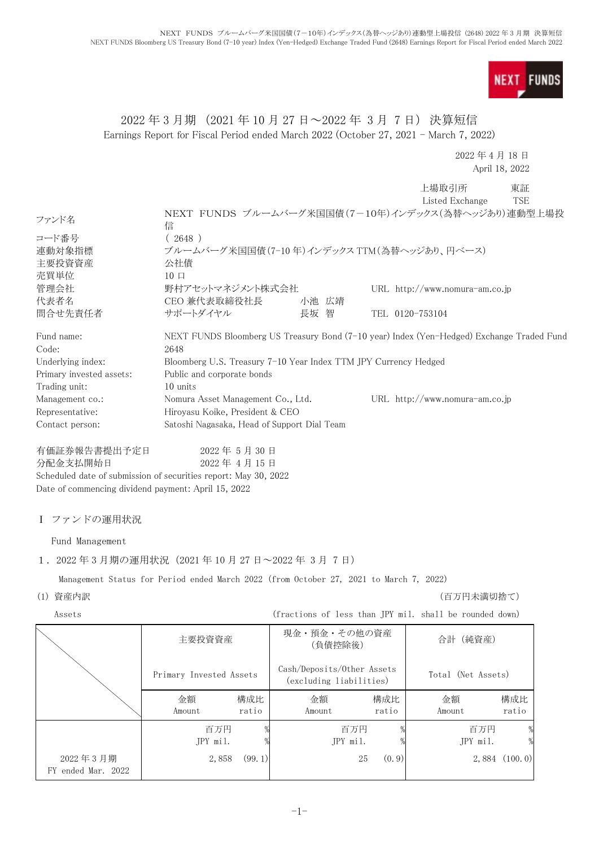**NEXT FUNDS** 

## 2022 年 3 月期 (2021 年 10 月 27 日~2022 年 3 月 7 日) 決算短信 Earnings Report for Fiscal Period ended March 2022 (October 27, 2021 - March 7, 2022)

2022 年 4 月 18 日 April 18, 2022

|                          |                                                                                           |       |                 | 上場取引所                            | 東証         |
|--------------------------|-------------------------------------------------------------------------------------------|-------|-----------------|----------------------------------|------------|
|                          |                                                                                           |       |                 | Listed Exchange                  | <b>TSE</b> |
| ファンド名                    | NEXT FUNDS ブルームバーグ米国国債(7-10年)インデックス(為替ヘッジあり)連動型上場投<br>信                                   |       |                 |                                  |            |
| コード番号                    | (2648)                                                                                    |       |                 |                                  |            |
| 連動対象指標                   | ブルームバーグ米国国債(7-10年)インデックス TTM(為替ヘッジあり、円ベース)                                                |       |                 |                                  |            |
| 主要投資資産                   | 公社債                                                                                       |       |                 |                                  |            |
| 売買単位                     | $10 \Box$                                                                                 |       |                 |                                  |            |
| 管理会社                     | 野村アセットマネジメント株式会社                                                                          |       |                 | URL http://www.nomura-am.co.jp   |            |
| 代表者名                     | CEO 兼代表取締役社長                                                                              | 小池 広靖 |                 |                                  |            |
| 問合せ先責任者                  | サポートダイヤル                                                                                  | 長坂 智  | TEL 0120-753104 |                                  |            |
| Fund name:               | NEXT FUNDS Bloomberg US Treasury Bond (7-10 year) Index (Yen-Hedged) Exchange Traded Fund |       |                 |                                  |            |
| Code:                    | 2648                                                                                      |       |                 |                                  |            |
| Underlying index:        | Bloomberg U.S. Treasury 7-10 Year Index TTM JPY Currency Hedged                           |       |                 |                                  |            |
| Primary invested assets: | Public and corporate bonds                                                                |       |                 |                                  |            |
| Trading unit:            | 10 units                                                                                  |       |                 |                                  |            |
| Management co.:          | Nomura Asset Management Co., Ltd.                                                         |       |                 | URL $http://www.nomura-am.co.jp$ |            |
| Representative:          | Hiroyasu Koike, President & CEO                                                           |       |                 |                                  |            |
| Contact person:          | Satoshi Nagasaka, Head of Support Dial Team                                               |       |                 |                                  |            |
| 有価証券報告書提出予定日             | 2022年5月30日                                                                                |       |                 |                                  |            |

分配金支払開始日 2022 年 4 月 15 日

Scheduled date of submission of securities report: May 30, 2022 Date of commencing dividend payment: April 15, 2022

### Ⅰ ファンドの運用状況

Fund Management

1.2022 年 3 月期の運用状況(2021 年 10 月 27 日~2022 年 3 月 7 日)

Management Status for Period ended March 2022 (from October 27, 2021 to March 7, 2022)

### (1) 資産内訳 インファイン インタン インタン インタン (百万円未満切捨て) しょうしょう しょうしょう しょうしゅう (百万円未満切捨て)

Assets (fractions of less than JPY mil. shall be rounded down)

|                                | 主要投資資産                  |              | 現金・預金・その他の資産<br>(負債控除後)                               |              | 合計 (純資産)           |                    |
|--------------------------------|-------------------------|--------------|-------------------------------------------------------|--------------|--------------------|--------------------|
|                                | Primary Invested Assets |              | Cash/Deposits/Other Assets<br>(excluding liabilities) |              | Total (Net Assets) |                    |
|                                | 金額<br>Amount            | 構成比<br>ratio | 金額<br>Amount                                          | 構成比<br>ratio | 金額<br>Amount       | 構成比<br>ratio       |
|                                | 百万円<br>JPY mil.         |              | 百万円<br>JPY mil.                                       |              | 百万円<br>JPY mil.    | $\%$               |
| 2022年3月期<br>FY ended Mar. 2022 | 2,858                   | (99, 1)      | 25                                                    | (0, 9)       |                    | $2,884$ $(100, 0)$ |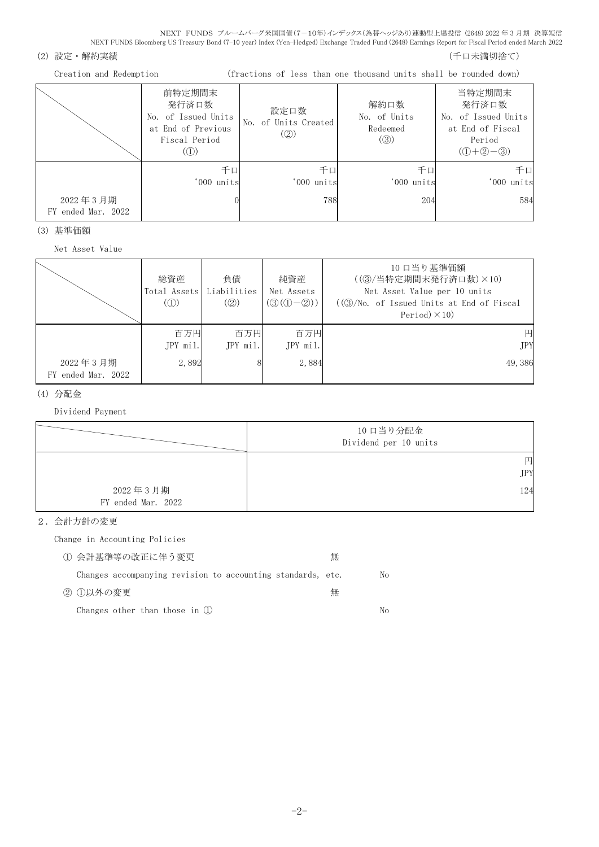#### (2) 設定・解約実績 (5) さんじょう あんしゃ インター・コンクリック (千口未満切捨て)

Creation and Redemption (fractions of less than one thousand units shall be rounded down)

|                                | 前特定期間末<br>発行済口数<br>No. of Issued Units<br>at End of Previous<br>Fiscal Period<br>(1) | 設定口数<br>No. of Units Created<br>$\left( \circled{2} \right)$ | 解約口数<br>No. of Units<br>Redeemed<br>$\left( \circledS \right)$ | 当特定期間末<br>発行済口数<br>No. of Issued Units<br>at End of Fiscal<br>Period<br>$(D+2-3)$ |
|--------------------------------|--------------------------------------------------------------------------------------|--------------------------------------------------------------|----------------------------------------------------------------|-----------------------------------------------------------------------------------|
| 2022年3月期<br>FY ended Mar. 2022 | 千口<br>'000 units                                                                     | 千口<br>'000 units<br>788                                      | 千口<br>'000 units<br>204                                        | 千口<br>'000 units<br>584                                                           |

(3) 基準価額

Net Asset Value

|                                | 総資産<br>Total Assets<br>$\mathcal{L}(\mathbb{D})$ | 負債<br>Liabilities<br>(2) | 純資産<br>Net Assets<br>$(③(①-②))$ | 10 口当り基準価額<br>((3)/当特定期間末発行済口数)×10)<br>Net Asset Value per 10 units<br>$((\textcircled{3}/\text{No. of } I$ ssued Units at End of Fiscal<br>Period $)\times$ 10) |
|--------------------------------|--------------------------------------------------|--------------------------|---------------------------------|------------------------------------------------------------------------------------------------------------------------------------------------------------------|
| 2022年3月期<br>FY ended Mar. 2022 | 百万円<br>JPY mil.<br>2,892                         | 百万円<br>JPY mil.          | 百万円<br>JPY mil.<br>2,884        | 円<br><b>JPY</b><br>49,386                                                                                                                                        |

### (4) 分配金

Dividend Payment

|                                | 10 口当り分配金<br>Dividend per 10 units |
|--------------------------------|------------------------------------|
|                                | 円<br><b>JPY</b>                    |
| 2022年3月期<br>FY ended Mar. 2022 | 124                                |

2.会計方針の変更

Change in Accounting Policies

| 1) 会計基準等の改正に伴う変更                                            | 無 |     |
|-------------------------------------------------------------|---|-----|
| Changes accompanying revision to accounting standards, etc. |   | No. |
| ② ①以外の変更                                                    | 無 |     |
| Changes other than those in $(l)$                           |   | No. |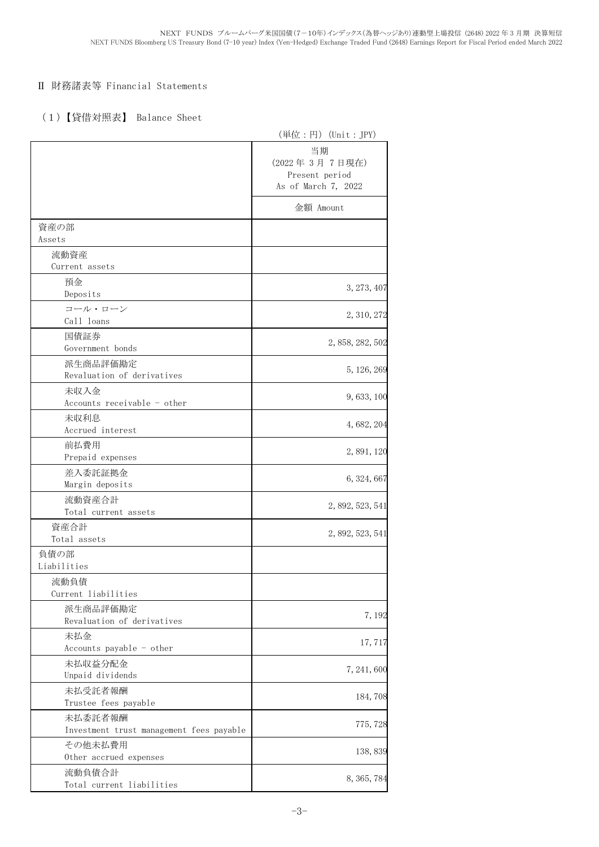### Ⅱ 財務諸表等 Financial Statements

## (1)【貸借対照表】 Balance Sheet

|                                          | (単位:円)(Unit:JPY)                                             |
|------------------------------------------|--------------------------------------------------------------|
|                                          | 当期<br>(2022年3月7日現在)<br>Present period<br>As of March 7, 2022 |
|                                          | 金額 Amount                                                    |
| 資産の部                                     |                                                              |
| Assets                                   |                                                              |
| 流動資産                                     |                                                              |
| Current assets                           |                                                              |
| 預金                                       | 3, 273, 407                                                  |
| Deposits                                 |                                                              |
| コール・ローン                                  | 2, 310, 272                                                  |
| Call loans                               |                                                              |
| 国債証券                                     | 2, 858, 282, 502                                             |
| Government bonds                         |                                                              |
| 派生商品評価勘定                                 | 5, 126, 269                                                  |
| Revaluation of derivatives               |                                                              |
| 未収入金                                     | 9,633,100                                                    |
| Accounts receivable - other              |                                                              |
| 未収利息                                     | 4, 682, 204                                                  |
| Accrued interest                         |                                                              |
| 前払費用                                     |                                                              |
| Prepaid expenses                         | 2, 891, 120                                                  |
| 差入委託証拠金                                  | 6, 324, 667                                                  |
| Margin deposits                          |                                                              |
| 流動資産合計                                   |                                                              |
| Total current assets                     | 2, 892, 523, 541                                             |
| 資産合計                                     |                                                              |
| Total assets                             | 2, 892, 523, 541                                             |
| 負債の部                                     |                                                              |
| Liabilities                              |                                                              |
| 流動負債                                     |                                                              |
| Current liabilities                      |                                                              |
| 派生商品評価勘定                                 |                                                              |
| Revaluation of derivatives               | 7, 192                                                       |
| 未払金                                      |                                                              |
| Accounts payable - other                 | 17,717                                                       |
| 未払収益分配金                                  |                                                              |
| Unpaid dividends                         | 7, 241, 600                                                  |
| 未払受託者報酬                                  | 184,708                                                      |
| Trustee fees payable                     |                                                              |
| 未払委託者報酬                                  | 775, 728                                                     |
| Investment trust management fees payable |                                                              |
| その他未払費用                                  | 138, 839                                                     |
| Other accrued expenses                   |                                                              |
| 流動負債合計                                   | 8, 365, 784                                                  |
| Total current liabilities                |                                                              |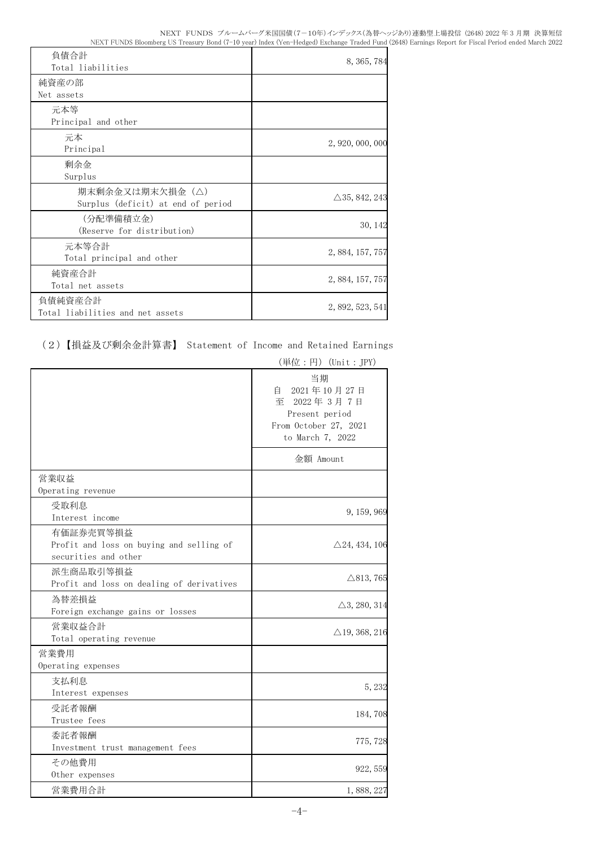| 負債合計                               |                          |
|------------------------------------|--------------------------|
| Total liabilities                  | 8, 365, 784              |
| 純資産の部                              |                          |
| Net assets                         |                          |
| 元本等                                |                          |
| Principal and other                |                          |
| 元本                                 | 2, 920, 000, 000         |
| Principal                          |                          |
| 剰余金                                |                          |
| Surplus                            |                          |
| 期末剰余金又は期末欠損金(△)                    | $\triangle$ 35, 842, 243 |
| Surplus (deficit) at end of period |                          |
| (分配準備積立金)                          |                          |
| (Reserve for distribution)         | 30, 142                  |
| 元本等合計                              |                          |
| Total principal and other          | 2, 884, 157, 757         |
| 純資産合計                              |                          |
| Total net assets                   | 2, 884, 157, 757         |
| 負債純資産合計                            |                          |
| Total liabilities and net assets   | 2, 892, 523, 541         |

# (2)【損益及び剰余金計算書】 Statement of Income and Retained Earnings

|                                                                               | (単位:円) (Unit:JPY)                                                                                       |
|-------------------------------------------------------------------------------|---------------------------------------------------------------------------------------------------------|
|                                                                               | 当期<br>2021年10月27日<br>自<br>至<br>2022年3月7日<br>Present period<br>From October 27, 2021<br>to March 7, 2022 |
|                                                                               | 金額 Amount                                                                                               |
| 営業収益<br>Operating revenue                                                     |                                                                                                         |
| 受取利息<br>Interest income                                                       | 9, 159, 969                                                                                             |
| 有価証券売買等損益<br>Profit and loss on buying and selling of<br>securities and other | $\triangle$ 24, 434, 106                                                                                |
| 派生商品取引等損益<br>Profit and loss on dealing of derivatives                        | $\triangle$ 813, 765                                                                                    |
| 為替差損益<br>Foreign exchange gains or losses                                     | $\triangle$ 3, 280, 314                                                                                 |
| 営業収益合計<br>Total operating revenue                                             | $\triangle$ 19, 368, 216                                                                                |
| 営業費用<br>Operating expenses                                                    |                                                                                                         |
| 支払利息<br>Interest expenses                                                     | 5, 232                                                                                                  |
| 受託者報酬<br>Trustee fees                                                         | 184,708                                                                                                 |
| 委託者報酬<br>Investment trust management fees                                     | 775, 728                                                                                                |
| その他費用<br>Other expenses                                                       | 922, 559                                                                                                |
| 営業費用合計                                                                        | 1,888,227                                                                                               |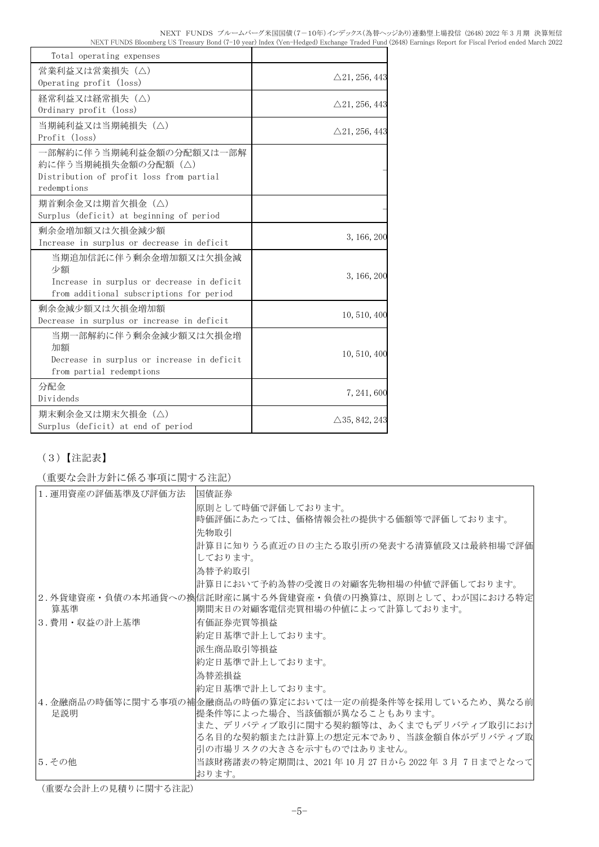| Total operating expenses                                                                                              |                          |
|-----------------------------------------------------------------------------------------------------------------------|--------------------------|
| 営業利益又は営業損失(△)<br>Operating profit (loss)                                                                              | $\triangle$ 21, 256, 443 |
| 経常利益又は経常損失(△)<br>Ordinary profit (loss)                                                                               | $\triangle$ 21, 256, 443 |
| 当期純利益又は当期純損失(△)<br>Profit (loss)                                                                                      | $\triangle$ 21, 256, 443 |
| 一部解約に伴う当期純利益金額の分配額又は一部解<br>約に伴う当期純損失金額の分配額(△)<br>Distribution of profit loss from partial<br>redemptions              |                          |
| 期首剰余金又は期首欠損金(△)<br>Surplus (deficit) at beginning of period                                                           |                          |
| 剰余金増加額又は欠損金減少額<br>Increase in surplus or decrease in deficit                                                          | 3, 166, 200              |
| 当期追加信託に伴う剰余金増加額又は欠損金減<br>少額<br>Increase in surplus or decrease in deficit<br>from additional subscriptions for period | 3, 166, 200              |
| 剰余金減少額又は欠損金増加額<br>Decrease in surplus or increase in deficit                                                          | 10, 510, 400             |
| 当期一部解約に伴う剰余金減少額又は欠損金増<br>加額<br>Decrease in surplus or increase in deficit<br>from partial redemptions                 | 10, 510, 400             |
| 分配金<br>Dividends                                                                                                      | 7, 241, 600              |
| 期末剰余金又は期末欠損金(△)<br>Surplus (deficit) at end of period                                                                 | $\triangle$ 35, 842, 243 |

# (3)【注記表】

(重要な会計方針に係る事項に関する注記)

| 1. 運用資産の評価基準及び評価方法 | 国債証券                                                    |
|--------------------|---------------------------------------------------------|
|                    | 原則として時価で評価しております。                                       |
|                    | 時価評価にあたっては、価格情報会社の提供する価額等で評価しております。                     |
|                    | 先物取引                                                    |
|                    | 計算日に知りうる直近の日の主たる取引所の発表する清算値段又は最終相場で評価                   |
|                    | しております。                                                 |
|                    | 為替予約取引                                                  |
|                    | 計算日において予約為替の受渡日の対顧客先物相場の仲値で評価しております。                    |
|                    | 2.外貨建資産・負債の本邦通貨への換信託財産に属する外貨建資産・負債の円換算は、原則として、わが国における特定 |
| 算基準                | 期間末日の対顧客電信売買相場の仲値によって計算しております。                          |
| 3. 費用・収益の計上基準      | 有価証券売買等損益                                               |
|                    | 約定日基準で計上しております。                                         |
|                    | 派生商品取引等損益                                               |
|                    | 約定日基準で計上しております。                                         |
|                    | 為替差損益                                                   |
|                    | 約定日基準で計上しております。                                         |
|                    | 4.金融商品の時価等に関する事項の補金融商品の時価の算定においては一定の前提条件等を採用しているため、異なる前 |
| 足説明                | 提条件等によった場合、当該価額が異なることもあります。                             |
|                    | また、デリバティブ取引に関する契約額等は、あくまでもデリバティブ取引におけ                   |
|                    | る名目的な契約額または計算上の想定元本であり、当該金額自体がデリバティブ取                   |
|                    | 引の市場リスクの大きさを示すものではありません。                                |
| 5.その他              | 当該財務諸表の特定期間は、2021年10月27日から2022年 3月 7日までとなって             |
|                    | おります。                                                   |

(重要な会計上の見積りに関する注記)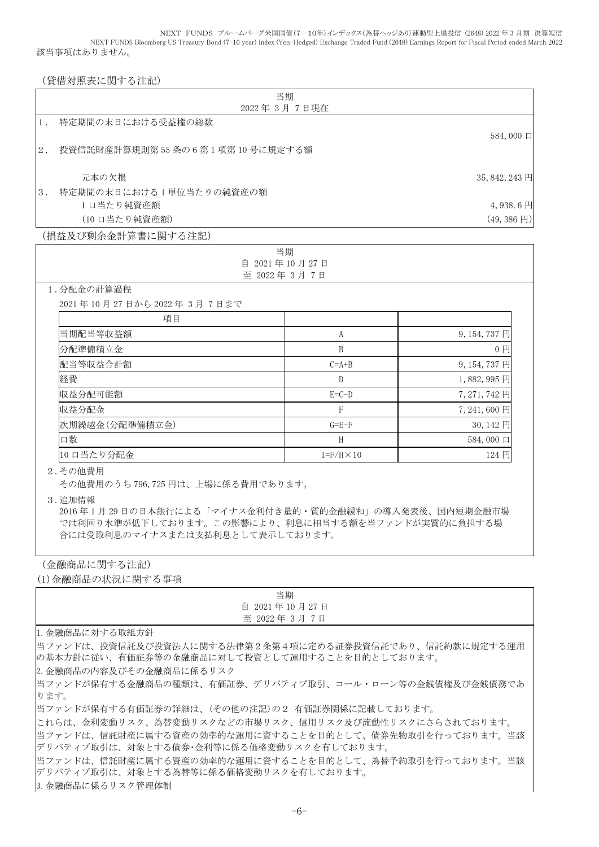NEXT FUNDS ブルームバーグ米国国債(7-10年)インデックス(為替ヘッジあり)連動型上場投信 (2648) 2022 年 3 月期 決算短信 NEXT FUNDS Bloomberg US Treasury Bond (7-10 year) Index (Yen-Hedged) Exchange Traded Fund (2648) Earnings Report for Fiscal Period ended March 2022 該当事項はありません。

#### (貸借対照表に関する注記)

|                                        | 当期                           |                                 |
|----------------------------------------|------------------------------|---------------------------------|
| 特定期間の末日における受益権の総数<br>$1$ .             | 2022年3月7日現在                  |                                 |
|                                        |                              | 584,000 口                       |
| 投資信託財産計算規則第55条の6第1項第10号に規定する額<br>$2$ . |                              |                                 |
|                                        |                              |                                 |
| 元本の欠損                                  |                              | 35, 842, 243 円                  |
| 特定期間の末日における1単位当たりの純資産の額<br>3.          |                              |                                 |
| 1口当たり純資産額                              |                              | 4,938.6 $\Box$                  |
| (10 口当たり純資産額)                          |                              | $(49, 386 \text{ H})$           |
| (損益及び剰余金計算書に関する注記)                     |                              |                                 |
|                                        | 当期                           |                                 |
|                                        | 自 2021年10月27日<br>至 2022年3月7日 |                                 |
|                                        |                              |                                 |
|                                        |                              |                                 |
| 1. 分配金の計算過程                            |                              |                                 |
| 2021年10月27日から2022年3月7日まで               |                              |                                 |
| 項目                                     | A                            |                                 |
| 当期配当等収益額                               | $\overline{B}$               | 9, 154, 737 円<br>0 <sub>1</sub> |
| 分配準備積立金<br>配当等収益合計額                    | $C=A+B$                      | 9, 154, 737 円                   |
| 経費                                     | $\mathbb{D}$                 | 1,882,995円                      |
| 収益分配可能額                                | $E=C-D$                      | 7, 271, 742 円                   |
| 収益分配金                                  | $\mathsf{F}$                 | 7,241,600円                      |
| 次期繰越金(分配準備積立金)                         | $G = E - F$                  | 30,142円                         |
| 口数                                     | H                            | 584,000 口                       |

その他費用のうち 796,725 円は、上場に係る費用であります。

3.追加情報

2016 年 1 月 29 日の日本銀行による「マイナス金利付き量的・質的金融緩和」の導入発表後、国内短期金融市場 では利回り水準が低下しております。この影響により、利息に相当する額を当ファンドが実質的に負担する場 合には受取利息のマイナスまたは支払利息として表示しております。

(金融商品に関する注記)

(1)金融商品の状況に関する事項

| 当期            |  |
|---------------|--|
| 自 2021年10月27日 |  |
| 至 2022年3月7日   |  |
|               |  |

1.金融商品に対する取組方針

当ファンドは、投資信託及び投資法人に関する法律第2条第4項に定める証券投資信託であり、信託約款に規定する運用 の基本方針に従い、有価証券等の金融商品に対して投資として運用することを目的としております。

2.金融商品の内容及びその金融商品に係るリスク

当ファンドが保有する金融商品の種類は、有価証券、デリバティブ取引、コール・ローン等の金銭債権及び金銭債務であ ります。

当ファンドが保有する有価証券の詳細は、(その他の注記)の2 有価証券関係に記載しております。

これらは、金利変動リスク、為替変動リスクなどの市場リスク、信用リスク及び流動性リスクにさらされております。 当ファンドは、信託財産に属する資産の効率的な運用に資することを目的として、債券先物取引を行っております。当該 デリバティブ取引は、対象とする債券・金利等に係る価格変動リスクを有しております。

当ファンドは、信託財産に属する資産の効率的な運用に資することを目的として、為替予約取引を行っております。当該 デリバティブ取引は、対象とする為替等に係る価格変動リスクを有しております。

3.金融商品に係るリスク管理体制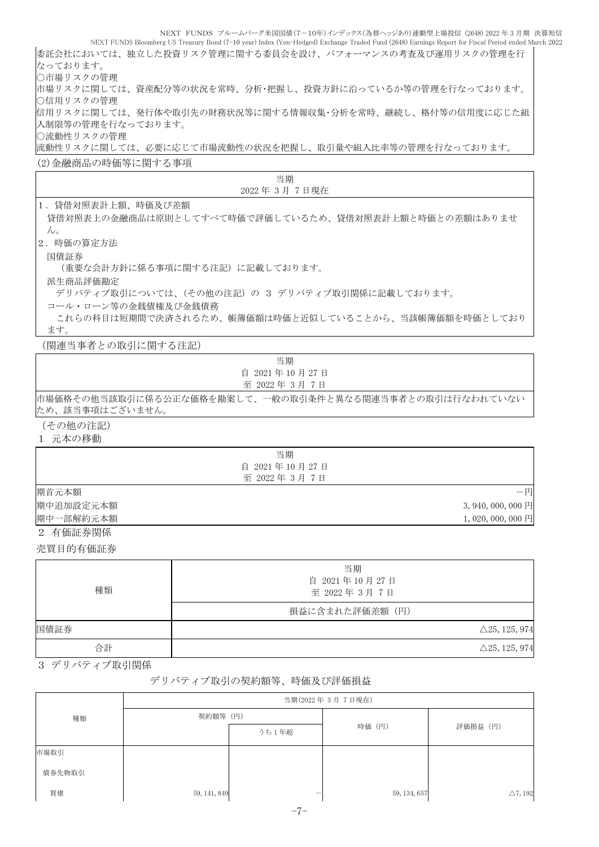NEXT FUNDS Bloomberg US Treasury Bond (7-10 year) Index (Yen-Hedged) Exchange Traded Fund (2648) Earnings Report for Fiscal Period ended March 2022 委託会社においては、独立した投資リスク管理に関する委員会を設け、パフォーマンスの考査及び運用リスクの管理を行 なっております。 ○市場リスクの管理 市場リスクに関しては、資産配分等の状況を常時、分析・把握し、投資方針に沿っているか等の管理を行なっております。 ○信用リスクの管理 信用リスクに関しては、発行体や取引先の財務状況等に関する情報収集・分析を常時、継続し、格付等の信用度に応じた組 入制限等の管理を行なっております。 ○流動性リスクの管理 流動性リスクに関しては、必要に応じて市場流動性の状況を把握し、取引量や組入比率等の管理を行なっております。 (2)金融商品の時価等に関する事項 当期 2022 年 3 月 7 日現在 1.貸借対照表計上額、時価及び差額 貸借対照表上の金融商品は原則としてすべて時価で評価しているため、貸借対照表計上額と時価との差額はありませ

NEXT FUNDS ブルームバーグ米国国債(7-10年)インデックス(為替ヘッジあり)連動型上場投信 (2648) 2022 年 3 月期 決算短信

 $h_{\rm o}$ 

2.時価の算定方法

#### 国債証券

(重要な会計方針に係る事項に関する注記)に記載しております。

派生商品評価勘定

デリバティブ取引については、(その他の注記)の 3 デリバティブ取引関係に記載しております。

コール・ローン等の金銭債権及び金銭債務

これらの科目は短期間で決済されるため、帳簿価額は時価と近似していることから、当該帳簿価額を時価としており ます。

(関連当事者との取引に関する注記)

| 当期                                                     |
|--------------------------------------------------------|
| 自 2021年10月27日                                          |
| 至 2022年 3月 7日                                          |
| 市場価格その他当該取引に係る公正な価格を勘案して、一般の取引条件と異なる関連当事者との取引は行なわれていない |
| ため、該当事項はございません。                                        |

(その他の注記)

1 元本の移動

|           | 当期            |                   |
|-----------|---------------|-------------------|
|           | 自 2021年10月27日 |                   |
|           | 至 2022年3月7日   |                   |
| 期首元本額     |               | 一円                |
| 期中追加設定元本額 |               | $3,940,000,000$ 円 |
| 期中一部解約元本額 |               | $1,020,000,000$ 円 |
| 2 有価証券関係  |               |                   |

売買目的有価証券

| 種類                                                                                                                                                            | 当期<br>自 2021年10月27日<br>至 2022年3月7日 |
|---------------------------------------------------------------------------------------------------------------------------------------------------------------|------------------------------------|
|                                                                                                                                                               | 損益に含まれた評価差額(円)                     |
| 国債証券                                                                                                                                                          | $\triangle$ 25, 125, 974           |
| 合計                                                                                                                                                            | $\triangle$ 25, 125, 974           |
| $\alpha$ $\rightarrow$ 11 $\rightarrow$ $\rightarrow$ $\rightarrow$ $\rightarrow$ $\rightarrow$ $\rightarrow$ 11 $\rightarrow$ 11 $\rightarrow$ $\rightarrow$ |                                    |

3 デリバティブ取引関係

### デリバティブ取引の契約額等、時価及び評価損益

|        | 当期(2022年3月7日現在) |       |              |                    |
|--------|-----------------|-------|--------------|--------------------|
| 種類     | 契約額等 (円)        |       |              |                    |
|        |                 | うち1年超 | 時価 (円)       | 評価損益 (円)           |
| 市場取引   |                 |       |              |                    |
| 債券先物取引 |                 |       |              |                    |
| 買建     | 59, 141, 849    |       | 59, 134, 657 | $\triangle$ 7, 192 |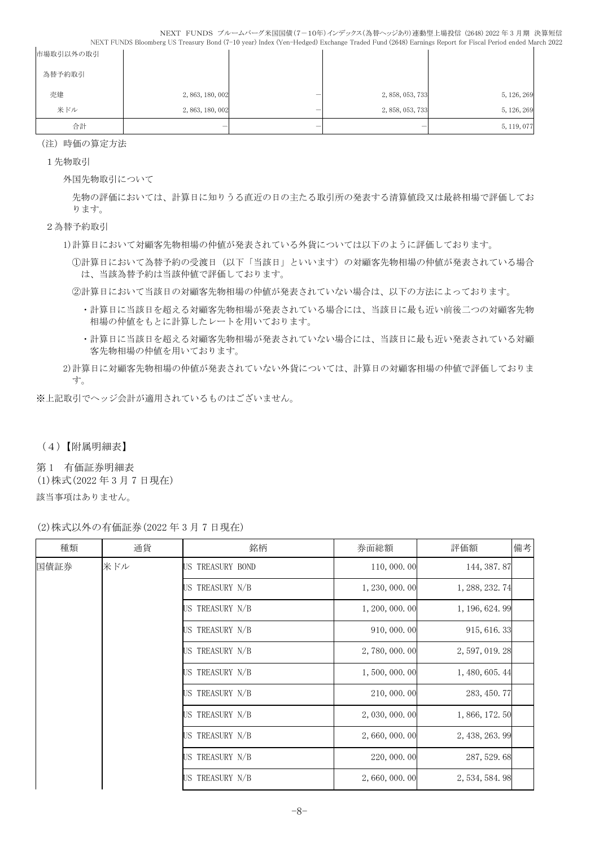| 市場取引以外の取引 |                  |   |                  |             |
|-----------|------------------|---|------------------|-------------|
| 為替予約取引    |                  |   |                  |             |
| 売建        | 2, 863, 180, 002 | – | 2, 858, 053, 733 | 5, 126, 269 |
| 米ドル       | 2, 863, 180, 002 | – | 2, 858, 053, 733 | 5, 126, 269 |
| 合計        | –                | – |                  | 5, 119, 077 |

(注)時価の算定方法

1先物取引

外国先物取引について

先物の評価においては、計算日に知りうる直近の日の主たる取引所の発表する清算値段又は最終相場で評価してお ります。

2為替予約取引

1)計算日において対顧客先物相場の仲値が発表されている外貨については以下のように評価しております。

①計算日において為替予約の受渡日(以下「当該日」といいます)の対顧客先物相場の仲値が発表されている場合 は、当該為替予約は当該仲値で評価しております。

②計算日において当該日の対顧客先物相場の仲値が発表されていない場合は、以下の方法によっております。

- ・計算日に当該日を超える対顧客先物相場が発表されている場合には、当該日に最も近い前後二つの対顧客先物 相場の仲値をもとに計算したレートを用いております。
- ・計算日に当該日を超える対顧客先物相場が発表されていない場合には、当該日に最も近い発表されている対顧 客先物相場の仲値を用いております。

2)計算日に対顧客先物相場の仲値が発表されていない外貨については、計算日の対顧客相場の仲値で評価しておりま す。

※上記取引でヘッジ会計が適用されているものはございません。

(4)【附属明細表】

第 1 有価証券明細表 (1)株式(2022 年 3 月 7 日現在) 該当事項はありません。

(2)株式以外の有価証券(2022 年 3 月 7 日現在)

| 種類   | 通貨  | 銘柄               | 券面総額            | 評価額             | 備考 |
|------|-----|------------------|-----------------|-----------------|----|
| 国債証券 | 米ドル | US TREASURY BOND | 110,000.00      | 144, 387.87     |    |
|      |     | JS TREASURY N/B  | 1, 230, 000. 00 | 1, 288, 232.74  |    |
|      |     | US TREASURY N/B  | 1, 200, 000, 00 | 1, 196, 624. 99 |    |
|      |     | US TREASURY N/B  | 910, 000. 00    | 915, 616.33     |    |
|      |     | US TREASURY N/B  | 2,780,000.00    | 2, 597, 019. 28 |    |
|      |     | US TREASURY N/B  | 1,500,000.00    | 1, 480, 605. 44 |    |
|      |     | US TREASURY N/B  | 210,000.00      | 283, 450.77     |    |
|      |     | US TREASURY N/B  | 2, 030, 000. 00 | 1, 866, 172. 50 |    |
|      |     | US TREASURY N/B  | 2,660,000.00    | 2, 438, 263. 99 |    |
|      |     | US TREASURY N/B  | 220, 000. 00    | 287, 529.68     |    |
|      |     | JS TREASURY N/B  | 2,660,000.00    | 2, 534, 584. 98 |    |